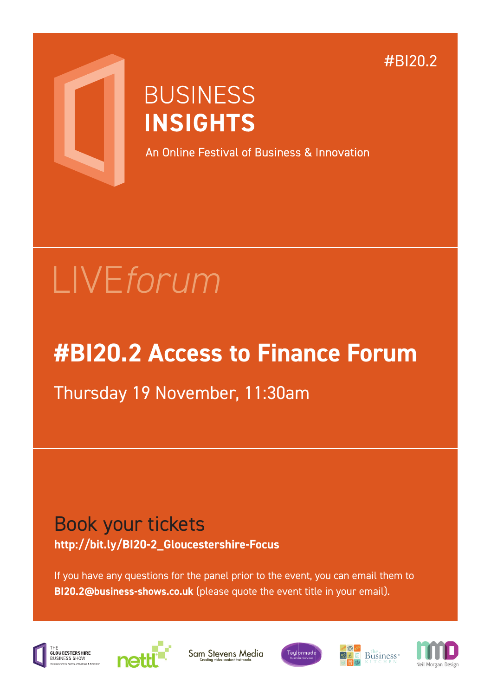#BI20.2



## **BUSINESS INSIGHTS**

An Online Festival of Business & Innovation

# LIVE*forum*

## **#BI20.2 Access to Finance Forum**

### Thursday 19 November, 11:30am

#### Book your tickets **http://bit.ly/BI20-2\_Gloucestershire-Focus**

If you have any questions for the panel prior to the event, you can email them to **BI20.2@business-shows.co.uk** (please quote the event title in your email).





Sam Stevens Media